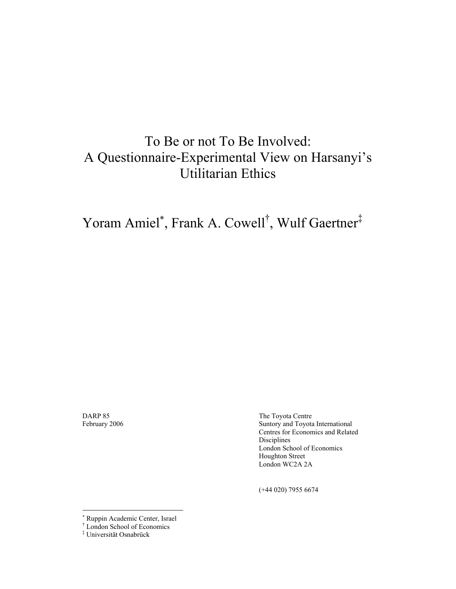# To Be or not To Be Involved: A Questionnaire-Experimental View on Harsanyi's Utilitarian Ethics

Yoram Amiel<sup>∗</sup> , Frank A. Cowell† , Wulf Gaertner‡

DARP 85 **The Toyota Centre** February 2006 Suntory and Toyota International Centres for Economics and Related Disciplines London School of Economics Houghton Street London WC2A 2A

(+44 020) 7955 6674

 $\overline{a}$ 

<sup>∗</sup> Ruppin Academic Center, Israel

<sup>†</sup> London School of Economics

<sup>‡</sup> Universität Osnabrück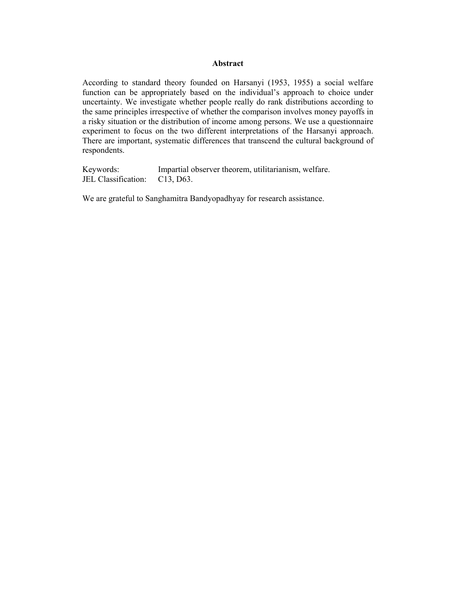#### **Abstract**

According to standard theory founded on Harsanyi (1953, 1955) a social welfare function can be appropriately based on the individual's approach to choice under uncertainty. We investigate whether people really do rank distributions according to the same principles irrespective of whether the comparison involves money payoffs in a risky situation or the distribution of income among persons. We use a questionnaire experiment to focus on the two different interpretations of the Harsanyi approach. There are important, systematic differences that transcend the cultural background of respondents.

Keywords: Impartial observer theorem, utilitarianism, welfare. JEL Classification: C13, D63.

We are grateful to Sanghamitra Bandyopadhyay for research assistance.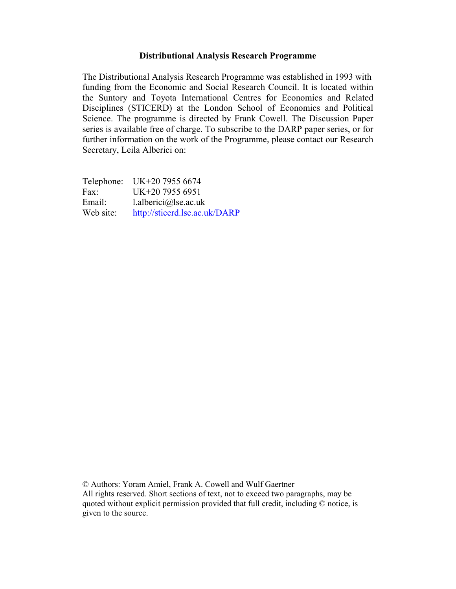#### **Distributional Analysis Research Programme**

The Distributional Analysis Research Programme was established in 1993 with funding from the Economic and Social Research Council. It is located within the Suntory and Toyota International Centres for Economics and Related Disciplines (STICERD) at the London School of Economics and Political Science. The programme is directed by Frank Cowell. The Discussion Paper series is available free of charge. To subscribe to the DARP paper series, or for further information on the work of the Programme, please contact our Research Secretary, Leila Alberici on:

Telephone: UK+20 7955 6674 Fax: UK+20 7955 6951 Email: l.alberici@lse.ac.uk Web site: http://sticerd.lse.ac.uk/DARP

© Authors: Yoram Amiel, Frank A. Cowell and Wulf Gaertner All rights reserved. Short sections of text, not to exceed two paragraphs, may be quoted without explicit permission provided that full credit, including © notice, is given to the source.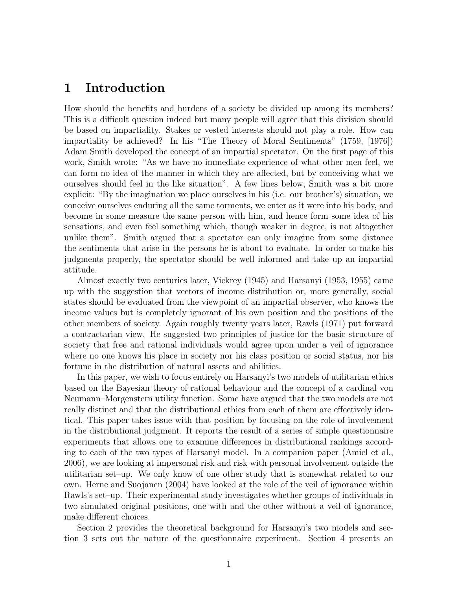### 1 Introduction

How should the benefits and burdens of a society be divided up among its members? This is a difficult question indeed but many people will agree that this division should be based on impartiality. Stakes or vested interests should not play a role. How can impartiality be achieved? In his "The Theory of Moral Sentiments" (1759, [1976]) Adam Smith developed the concept of an impartial spectator. On the first page of this work, Smith wrote: "As we have no immediate experience of what other men feel, we can form no idea of the manner in which they are affected, but by conceiving what we ourselves should feel in the like situation". A few lines below, Smith was a bit more explicit: "By the imagination we place ourselves in his (i.e. our brother's) situation, we conceive ourselves enduring all the same torments, we enter as it were into his body, and become in some measure the same person with him, and hence form some idea of his sensations, and even feel something which, though weaker in degree, is not altogether unlike them". Smith argued that a spectator can only imagine from some distance the sentiments that arise in the persons he is about to evaluate. In order to make his judgments properly, the spectator should be well informed and take up an impartial attitude.

Almost exactly two centuries later, Vickrey (1945) and Harsanyi (1953, 1955) came up with the suggestion that vectors of income distribution or, more generally, social states should be evaluated from the viewpoint of an impartial observer, who knows the income values but is completely ignorant of his own position and the positions of the other members of society. Again roughly twenty years later, Rawls (1971) put forward a contractarian view. He suggested two principles of justice for the basic structure of society that free and rational individuals would agree upon under a veil of ignorance where no one knows his place in society nor his class position or social status, nor his fortune in the distribution of natural assets and abilities.

In this paper, we wish to focus entirely on Harsanyi's two models of utilitarian ethics based on the Bayesian theory of rational behaviour and the concept of a cardinal von Neumann–Morgenstern utility function. Some have argued that the two models are not really distinct and that the distributional ethics from each of them are effectively identical. This paper takes issue with that position by focusing on the role of involvement in the distributional judgment. It reports the result of a series of simple questionnaire experiments that allows one to examine differences in distributional rankings according to each of the two types of Harsanyi model. In a companion paper (Amiel et al., 2006), we are looking at impersonal risk and risk with personal involvement outside the utilitarian set–up. We only know of one other study that is somewhat related to our own. Herne and Suojanen (2004) have looked at the role of the veil of ignorance within Rawls's set–up. Their experimental study investigates whether groups of individuals in two simulated original positions, one with and the other without a veil of ignorance, make different choices.

Section 2 provides the theoretical background for Harsanyi's two models and section 3 sets out the nature of the questionnaire experiment. Section 4 presents an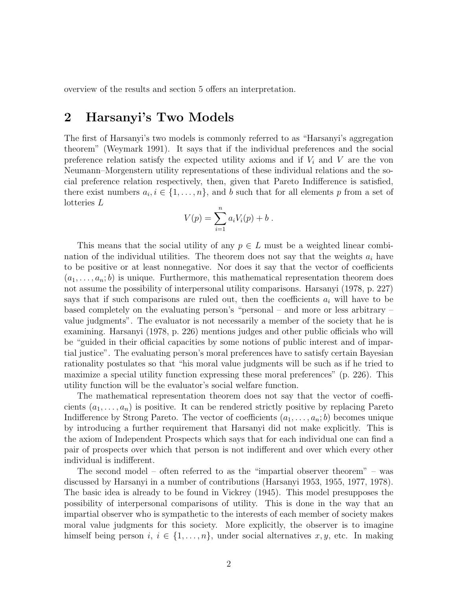overview of the results and section 5 offers an interpretation.

#### 2 Harsanyi's Two Models

The first of Harsanyi's two models is commonly referred to as "Harsanyi's aggregation theorem" (Weymark 1991). It says that if the individual preferences and the social preference relation satisfy the expected utility axioms and if  $V_i$  and V are the von Neumann–Morgenstern utility representations of these individual relations and the social preference relation respectively, then, given that Pareto Indifference is satisfied, there exist numbers  $a_i, i \in \{1, \ldots, n\}$ , and b such that for all elements p from a set of lotteries L

$$
V(p) = \sum_{i=1}^{n} a_i V_i(p) + b.
$$

This means that the social utility of any  $p \in L$  must be a weighted linear combination of the individual utilities. The theorem does not say that the weights  $a_i$  have to be positive or at least nonnegative. Nor does it say that the vector of coefficients  $(a_1, \ldots, a_n; b)$  is unique. Furthermore, this mathematical representation theorem does not assume the possibility of interpersonal utility comparisons. Harsanyi (1978, p. 227) says that if such comparisons are ruled out, then the coefficients  $a_i$  will have to be based completely on the evaluating person's "personal – and more or less arbitrary – value judgments". The evaluator is not necessarily a member of the society that he is examining. Harsanyi (1978, p. 226) mentions judges and other public officials who will be "guided in their official capacities by some notions of public interest and of impartial justice". The evaluating person's moral preferences have to satisfy certain Bayesian rationality postulates so that "his moral value judgments will be such as if he tried to maximize a special utility function expressing these moral preferences" (p. 226). This utility function will be the evaluator's social welfare function.

The mathematical representation theorem does not say that the vector of coefficients  $(a_1, \ldots, a_n)$  is positive. It can be rendered strictly positive by replacing Pareto Indifference by Strong Pareto. The vector of coefficients  $(a_1, \ldots, a_n; b)$  becomes unique by introducing a further requirement that Harsanyi did not make explicitly. This is the axiom of Independent Prospects which says that for each individual one can find a pair of prospects over which that person is not indifferent and over which every other individual is indifferent.

The second model – often referred to as the "impartial observer theorem" – was discussed by Harsanyi in a number of contributions (Harsanyi 1953, 1955, 1977, 1978). The basic idea is already to be found in Vickrey (1945). This model presupposes the possibility of interpersonal comparisons of utility. This is done in the way that an impartial observer who is sympathetic to the interests of each member of society makes moral value judgments for this society. More explicitly, the observer is to imagine himself being person  $i, i \in \{1, \ldots, n\}$ , under social alternatives  $x, y$ , etc. In making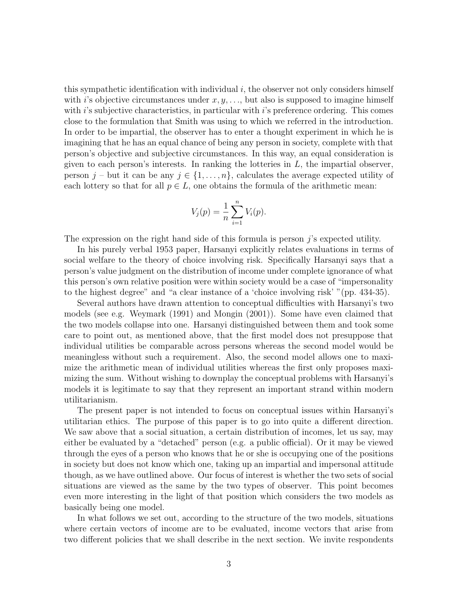this sympathetic identification with individual  $i$ , the observer not only considers himself with i's objective circumstances under  $x, y, \ldots$ , but also is supposed to imagine himself with  $i$ 's subjective characteristics, in particular with  $i$ 's preference ordering. This comes close to the formulation that Smith was using to which we referred in the introduction. In order to be impartial, the observer has to enter a thought experiment in which he is imagining that he has an equal chance of being any person in society, complete with that person's objective and subjective circumstances. In this way, an equal consideration is given to each person's interests. In ranking the lotteries in  $L$ , the impartial observer, person j – but it can be any  $j \in \{1, \ldots, n\}$ , calculates the average expected utility of each lottery so that for all  $p \in L$ , one obtains the formula of the arithmetic mean:

$$
V_j(p) = \frac{1}{n} \sum_{i=1}^n V_i(p).
$$

The expression on the right hand side of this formula is person j's expected utility.

In his purely verbal 1953 paper, Harsanyi explicitly relates evaluations in terms of social welfare to the theory of choice involving risk. Specifically Harsanyi says that a person's value judgment on the distribution of income under complete ignorance of what this person's own relative position were within society would be a case of "impersonality to the highest degree" and "a clear instance of a 'choice involving risk' "(pp. 434-35).

Several authors have drawn attention to conceptual difficulties with Harsanyi's two models (see e.g. Weymark (1991) and Mongin (2001)). Some have even claimed that the two models collapse into one. Harsanyi distinguished between them and took some care to point out, as mentioned above, that the first model does not presuppose that individual utilities be comparable across persons whereas the second model would be meaningless without such a requirement. Also, the second model allows one to maximize the arithmetic mean of individual utilities whereas the first only proposes maximizing the sum. Without wishing to downplay the conceptual problems with Harsanyi's models it is legitimate to say that they represent an important strand within modern utilitarianism.

The present paper is not intended to focus on conceptual issues within Harsanyi's utilitarian ethics. The purpose of this paper is to go into quite a different direction. We saw above that a social situation, a certain distribution of incomes, let us say, may either be evaluated by a "detached" person (e.g. a public official). Or it may be viewed through the eyes of a person who knows that he or she is occupying one of the positions in society but does not know which one, taking up an impartial and impersonal attitude though, as we have outlined above. Our focus of interest is whether the two sets of social situations are viewed as the same by the two types of observer. This point becomes even more interesting in the light of that position which considers the two models as basically being one model.

In what follows we set out, according to the structure of the two models, situations where certain vectors of income are to be evaluated, income vectors that arise from two different policies that we shall describe in the next section. We invite respondents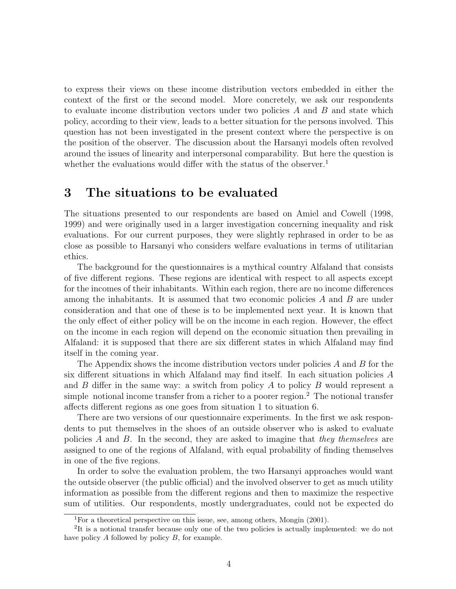to express their views on these income distribution vectors embedded in either the context of the first or the second model. More concretely, we ask our respondents to evaluate income distribution vectors under two policies  $A$  and  $B$  and state which policy, according to their view, leads to a better situation for the persons involved. This question has not been investigated in the present context where the perspective is on the position of the observer. The discussion about the Harsanyi models often revolved around the issues of linearity and interpersonal comparability. But here the question is whether the evaluations would differ with the status of the observer.<sup>1</sup>

### 3 The situations to be evaluated

The situations presented to our respondents are based on Amiel and Cowell (1998, 1999) and were originally used in a larger investigation concerning inequality and risk evaluations. For our current purposes, they were slightly rephrased in order to be as close as possible to Harsanyi who considers welfare evaluations in terms of utilitarian ethics.

The background for the questionnaires is a mythical country Alfaland that consists of five different regions. These regions are identical with respect to all aspects except for the incomes of their inhabitants. Within each region, there are no income differences among the inhabitants. It is assumed that two economic policies  $A$  and  $B$  are under consideration and that one of these is to be implemented next year. It is known that the only effect of either policy will be on the income in each region. However, the effect on the income in each region will depend on the economic situation then prevailing in Alfaland: it is supposed that there are six different states in which Alfaland may find itself in the coming year.

The Appendix shows the income distribution vectors under policies A and B for the six different situations in which Alfaland may find itself. In each situation policies A and  $B$  differ in the same way: a switch from policy  $A$  to policy  $B$  would represent a simple notional income transfer from a richer to a poorer region.<sup>2</sup> The notional transfer affects different regions as one goes from situation 1 to situation 6.

There are two versions of our questionnaire experiments. In the first we ask respondents to put themselves in the shoes of an outside observer who is asked to evaluate policies A and B. In the second, they are asked to imagine that they themselves are assigned to one of the regions of Alfaland, with equal probability of finding themselves in one of the five regions.

In order to solve the evaluation problem, the two Harsanyi approaches would want the outside observer (the public official) and the involved observer to get as much utility information as possible from the different regions and then to maximize the respective sum of utilities. Our respondents, mostly undergraduates, could not be expected do

<sup>1</sup>For a theoretical perspective on this issue, see, among others, Mongin (2001).

<sup>&</sup>lt;sup>2</sup>It is a notional transfer because only one of the two policies is actually implemented: we do not have policy A followed by policy B, for example.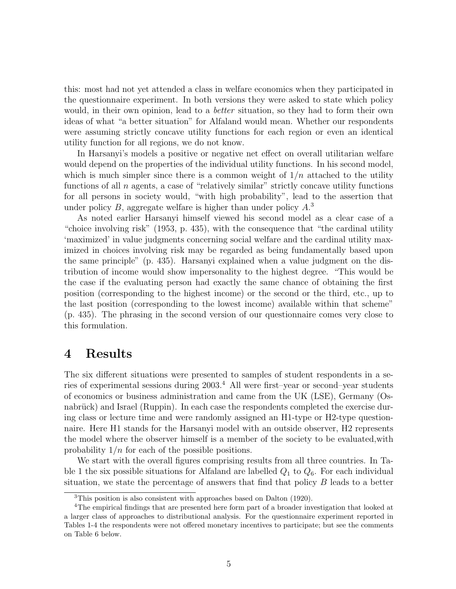this: most had not yet attended a class in welfare economics when they participated in the questionnaire experiment. In both versions they were asked to state which policy would, in their own opinion, lead to a *better* situation, so they had to form their own ideas of what "a better situation" for Alfaland would mean. Whether our respondents were assuming strictly concave utility functions for each region or even an identical utility function for all regions, we do not know.

In Harsanyi's models a positive or negative net effect on overall utilitarian welfare would depend on the properties of the individual utility functions. In his second model, which is much simpler since there is a common weight of  $1/n$  attached to the utility functions of all  $n$  agents, a case of "relatively similar" strictly concave utility functions for all persons in society would, "with high probability", lead to the assertion that under policy  $B$ , aggregate welfare is higher than under policy  $A$ <sup>3</sup>

As noted earlier Harsanyi himself viewed his second model as a clear case of a "choice involving risk" (1953, p. 435), with the consequence that "the cardinal utility 'maximized' in value judgments concerning social welfare and the cardinal utility maximized in choices involving risk may be regarded as being fundamentally based upon the same principle" (p. 435). Harsanyi explained when a value judgment on the distribution of income would show impersonality to the highest degree. "This would be the case if the evaluating person had exactly the same chance of obtaining the first position (corresponding to the highest income) or the second or the third, etc., up to the last position (corresponding to the lowest income) available within that scheme" (p. 435). The phrasing in the second version of our questionnaire comes very close to this formulation.

#### 4 Results

The six different situations were presented to samples of student respondents in a series of experimental sessions during 2003.<sup>4</sup> All were first–year or second–year students of economics or business administration and came from the UK (LSE), Germany (Osnabrück) and Israel (Ruppin). In each case the respondents completed the exercise during class or lecture time and were randomly assigned an H1-type or H2-type questionnaire. Here H1 stands for the Harsanyi model with an outside observer, H2 represents the model where the observer himself is a member of the society to be evaluated,with probability  $1/n$  for each of the possible positions.

We start with the overall figures comprising results from all three countries. In Table 1 the six possible situations for Alfaland are labelled  $Q_1$  to  $Q_6$ . For each individual situation, we state the percentage of answers that find that policy B leads to a better

<sup>3</sup>This position is also consistent with approaches based on Dalton (1920).

<sup>4</sup>The empirical findings that are presented here form part of a broader investigation that looked at a larger class of approaches to distributional analysis. For the questionnaire experiment reported in Tables 1-4 the respondents were not offered monetary incentives to participate; but see the comments on Table 6 below.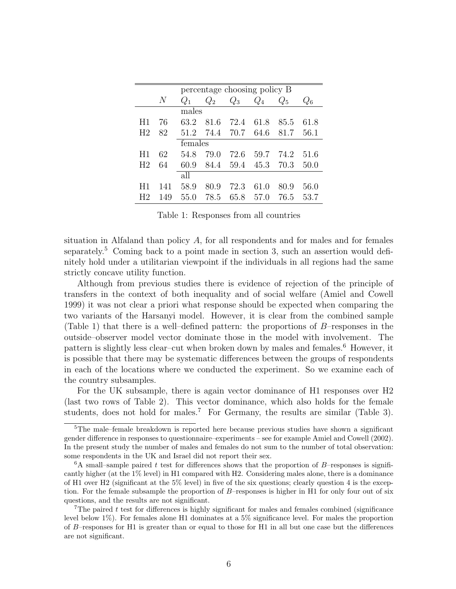|                | percentage choosing policy B |       |         |       |           |         |       |  |
|----------------|------------------------------|-------|---------|-------|-----------|---------|-------|--|
|                | N                            | $Q_1$ | $Q_2$   | $Q_3$ | $Q_4$     | $Q_{5}$ | $Q_6$ |  |
|                |                              |       | males   |       |           |         |       |  |
| H1             | 76                           | 63.2  | 81.6    | 72.4  | 61.8      | 85.5    | 61.8  |  |
| H <sub>2</sub> | 82                           | 51.2  | 74.4    | 70.7  | 64.6      | 81.7    | 56.1  |  |
|                |                              |       | females |       |           |         |       |  |
| H1             | 62                           | 54.8  | 79.0    | 72.6  | 59.7      | 74.2    | 51.6  |  |
| H <sub>2</sub> | 64                           | 60.9  | 84.4    |       | 59.4 45.3 | 70.3    | 50.0  |  |
|                |                              | all   |         |       |           |         |       |  |
|                | 141                          | 58.9  | 80.9    | 72.3  | 61.0      | 80.9    | 56.0  |  |
| HЭ             | 149                          | 55.0  | 78.5    | 65.8  | 57.0      | 76.5    | 53.7  |  |

Table 1: Responses from all countries

situation in Alfaland than policy  $A$ , for all respondents and for males and for females separately.<sup>5</sup> Coming back to a point made in section 3, such an assertion would definitely hold under a utilitarian viewpoint if the individuals in all regions had the same strictly concave utility function.

Although from previous studies there is evidence of rejection of the principle of transfers in the context of both inequality and of social welfare (Amiel and Cowell 1999) it was not clear a priori what response should be expected when comparing the two variants of the Harsanyi model. However, it is clear from the combined sample (Table 1) that there is a well–defined pattern: the proportions of B–responses in the outside–observer model vector dominate those in the model with involvement. The pattern is slightly less clear–cut when broken down by males and females.<sup>6</sup> However, it is possible that there may be systematic differences between the groups of respondents in each of the locations where we conducted the experiment. So we examine each of the country subsamples.

For the UK subsample, there is again vector dominance of H1 responses over H2 (last two rows of Table 2). This vector dominance, which also holds for the female students, does not hold for males.<sup>7</sup> For Germany, the results are similar (Table 3).

<sup>&</sup>lt;sup>5</sup>The male–female breakdown is reported here because previous studies have shown a significant gender difference in responses to questionnaire–experiments – see for example Amiel and Cowell (2002). In the present study the number of males and females do not sum to the number of total observation: some respondents in the UK and Israel did not report their sex.

 ${}^{6}$ A small–sample paired t test for differences shows that the proportion of B–responses is significantly higher (at the 1% level) in H1 compared with H2. Considering males alone, there is a dominance of H1 over H2 (significant at the 5% level) in five of the six questions; clearly question 4 is the exception. For the female subsample the proportion of  $B$ –responses is higher in H1 for only four out of six questions, and the results are not significant.

<sup>&</sup>lt;sup>7</sup>The paired  $t$  test for differences is highly significant for males and females combined (significance) level below 1%). For females alone H1 dominates at a 5% significance level. For males the proportion of B–responses for H1 is greater than or equal to those for H1 in all but one case but the differences are not significant.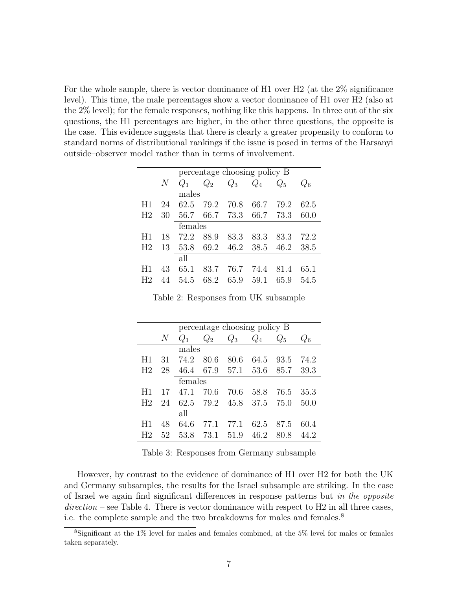For the whole sample, there is vector dominance of H1 over H2 (at the 2% significance level). This time, the male percentages show a vector dominance of H1 over H2 (also at the 2% level); for the female responses, nothing like this happens. In three out of the six questions, the H1 percentages are higher, in the other three questions, the opposite is the case. This evidence suggests that there is clearly a greater propensity to conform to standard norms of distributional rankings if the issue is posed in terms of the Harsanyi outside–observer model rather than in terms of involvement.

|                |       | percentage choosing policy B |         |       |       |       |       |  |
|----------------|-------|------------------------------|---------|-------|-------|-------|-------|--|
|                | $\,N$ | $Q_1$                        | $Q_2$   | $Q_3$ | $Q_4$ | $Q_5$ | $Q_6$ |  |
|                |       |                              | males   |       |       |       |       |  |
| H1             | 24    | 62.5                         | 79.2    | 70.8  | 66.7  | 79.2  | 62.5  |  |
| H <sub>2</sub> | 30    | 56.7                         | 66.7    | 73.3  | 66.7  | 73.3  | 60.0  |  |
|                |       |                              | females |       |       |       |       |  |
| H1             | 18    | 72.2                         | 88.9    | 83.3  | 83.3  | 83.3  | 72.2  |  |
| H <sub>2</sub> | 13    | 53.8                         | 69.2    | 46.2  | 38.5  | 46.2  | 38.5  |  |
|                |       | all                          |         |       |       |       |       |  |
| H1             | 43    | 65.1                         | 83.7    | 76.7  | 74.4  | 81.4  | 65.1  |  |
|                | 44    | 54.5                         | 68.2    | 65.9  | 59.1  | 65.9  | 54.5  |  |

Table 2: Responses from UK subsample

|                |    |         | percentage choosing policy B |       |       |       |             |  |
|----------------|----|---------|------------------------------|-------|-------|-------|-------------|--|
|                | N  | $Q_1$   | $Q_2$                        | $Q_3$ | $Q_4$ | $Q_5$ | $Q_{\rm 6}$ |  |
|                |    |         | males                        |       |       |       |             |  |
|                | 31 | 74.2    | 80.6                         | 80.6  | 64.5  | 93.5  | 74.2        |  |
| H <sub>2</sub> | 28 | 46.4    | 67.9                         | 57.1  | 53.6  | 85.7  | 39.3        |  |
|                |    | females |                              |       |       |       |             |  |
|                | 17 | 47.1    | 70.6                         | 70.6  | 58.8  | 76.5  | 35.3        |  |
| H <sub>2</sub> | 24 | 62.5    | 79.2                         | 45.8  | 37.5  | 75.0  | 50.0        |  |
|                |    | all     |                              |       |       |       |             |  |
|                | 48 | 64.6    | 77.1                         | 77.1  | 62.5  | 87.5  | 60.4        |  |
|                | 52 | 53.8    | 73.1                         | 51.9  | 46.2  | 80.8  |             |  |

Table 3: Responses from Germany subsample

However, by contrast to the evidence of dominance of H1 over H2 for both the UK and Germany subsamples, the results for the Israel subsample are striking. In the case of Israel we again find significant differences in response patterns but in the opposite  $direction - see Table 4. There is vector dominance with respect to H2 in all three cases,$ i.e. the complete sample and the two breakdowns for males and females.<sup>8</sup>

<sup>8</sup>Significant at the 1% level for males and females combined, at the 5% level for males or females taken separately.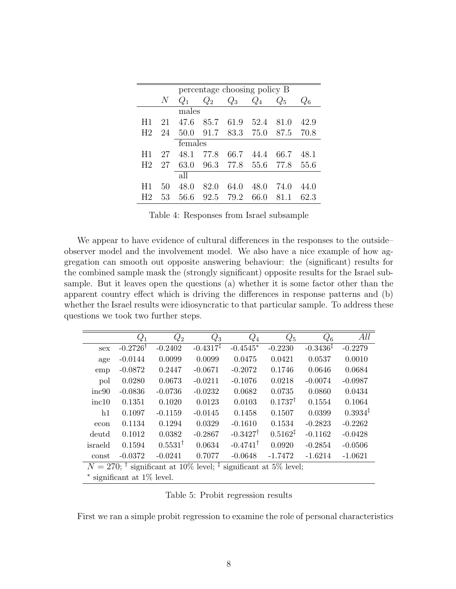|                |    | percentage choosing policy B |       |       |       |       |       |  |
|----------------|----|------------------------------|-------|-------|-------|-------|-------|--|
|                | N  | $Q_1$                        | $Q_2$ | $Q_3$ | $Q_4$ | $Q_5$ | $Q_6$ |  |
|                |    |                              | males |       |       |       |       |  |
| H1             | 21 | 47.6                         | 85.7  | 61.9  | 52.4  | 81.0  | 42.9  |  |
| H <sub>2</sub> | 24 | 50.0                         | 91.7  | 83.3  | 75.0  | 87.5  | 70.8  |  |
|                |    | females                      |       |       |       |       |       |  |
| H1             | 27 | 48.1                         | 77.8  | 66.7  | 44.4  | 66.7  | 48.1  |  |
| H <sub>2</sub> | 27 | 63.0                         | 96.3  | 77.8  | 55.6  | 77.8  | 55.6  |  |
|                |    | all                          |       |       |       |       |       |  |
| H1             | 50 | 48.0                         | 82.0  | 64.0  | 48.0  | 74.0  | 44.0  |  |
| H2             | 53 | 56.6                         | 92.5  | 79.2  | 66.0  | 81 1  | 62.3  |  |

Table 4: Responses from Israel subsample

We appear to have evidence of cultural differences in the responses to the outside– observer model and the involvement model. We also have a nice example of how aggregation can smooth out opposite answering behaviour: the (significant) results for the combined sample mask the (strongly significant) opposite results for the Israel subsample. But it leaves open the questions (a) whether it is some factor other than the apparent country effect which is driving the differences in response patterns and (b) whether the Israel results were idiosyncratic to that particular sample. To address these questions we took two further steps.

|                                                                                          | $Q_1$               | $Q_2$              | $Q_3$                  | $Q_4$               | $Q_5$               | $Q_6$      | All                 |
|------------------------------------------------------------------------------------------|---------------------|--------------------|------------------------|---------------------|---------------------|------------|---------------------|
| sex                                                                                      | $-0.2726^{\dagger}$ | $-0.2402$          | $-0.4317$ <sup>1</sup> | $-0.4545*$          | $-0.2230$           | $-0.3436‡$ | $-0.2279$           |
| age                                                                                      | $-0.0144$           | 0.0099             | 0.0099                 | 0.0475              | 0.0421              | 0.0537     | 0.0010              |
| emp                                                                                      | $-0.0872$           | 0.2447             | $-0.0671$              | $-0.2072$           | 0.1746              | 0.0646     | 0.0684              |
| pol                                                                                      | 0.0280              | 0.0673             | $-0.0211$              | $-0.1076$           | 0.0218              | $-0.0074$  | $-0.0987$           |
| inc90                                                                                    | $-0.0836$           | $-0.0736$          | $-0.0232$              | 0.0682              | 0.0735              | 0.0860     | 0.0434              |
| inc10                                                                                    | 0.1351              | 0.1020             | 0.0123                 | 0.0103              | $0.1737^{\dagger}$  | 0.1554     | 0.1064              |
| h1                                                                                       | 0.1097              | $-0.1159$          | $-0.0145$              | 0.1458              | 0.1507              | 0.0399     | $0.3934^{\ddagger}$ |
| econ                                                                                     | 0.1134              | 0.1294             | 0.0329                 | $-0.1610$           | 0.1534              | $-0.2823$  | $-0.2262$           |
| deutd                                                                                    | 0.1012              | 0.0382             | $-0.2867$              | $-0.3427^{\dagger}$ | $0.5162^{\ddagger}$ | $-0.1162$  | $-0.0428$           |
| israeld                                                                                  | 0.1594              | $0.5531^{\dagger}$ | 0.0634                 | $-0.4741^{\dagger}$ | 0.0920              | $-0.2854$  | $-0.0506$           |
| const                                                                                    | $-0.0372$           | $-0.0241$          | 0.7077                 | $-0.0648$           | $-1.7472$           | $-1.6214$  | $-1.0621$           |
| $N = 270$ ; <sup>†</sup> significant at 10% level; <sup>‡</sup> significant at 5% level; |                     |                    |                        |                     |                     |            |                     |
| $*$ significant at $1\%$ level.                                                          |                     |                    |                        |                     |                     |            |                     |

Table 5: Probit regression results

First we ran a simple probit regression to examine the role of personal characteristics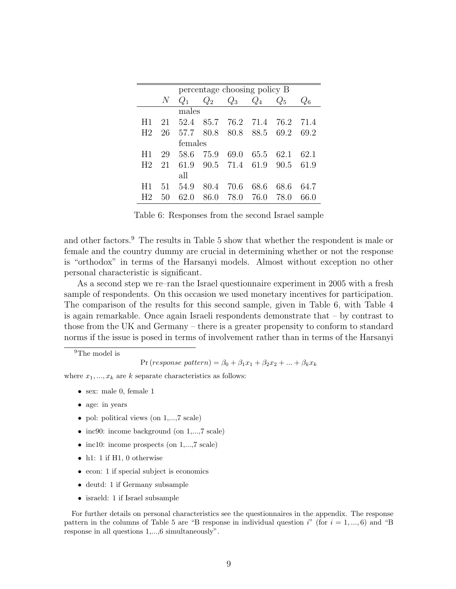|                | percentage choosing policy B |       |         |       |       |       |       |  |
|----------------|------------------------------|-------|---------|-------|-------|-------|-------|--|
|                | N                            | $Q_1$ | $Q_2$   | $Q_3$ | $Q_4$ | $Q_5$ | $Q_6$ |  |
|                |                              |       | males   |       |       |       |       |  |
| H1             | 21                           | 52.4  | 85.7    | 76.2  | 71.4  | 76.2  | 71.4  |  |
| H2             | 26                           | 57.7  | 80.8    | 80.8  | 88.5  | 69.2  | 69.2  |  |
|                |                              |       | females |       |       |       |       |  |
| H1             | 29                           | 58.6  | 75.9    | 69.0  | 65.5  | 62.1  | 62.1  |  |
| H <sub>2</sub> | 21                           | 61.9  | 90.5    | 71.4  | 61.9  | 90.5  | 61.9  |  |
|                |                              | all   |         |       |       |       |       |  |
|                | 51                           | 54.9  | 80.4    | 70.6  | 68.6  | 68.6  | 64.7  |  |
| H2             | 50                           | 62 0  | 86.0    | 78.0  | 76.0  | 78 O  | 66.0  |  |

Table 6: Responses from the second Israel sample

and other factors.<sup>9</sup> The results in Table 5 show that whether the respondent is male or female and the country dummy are crucial in determining whether or not the response is "orthodox" in terms of the Harsanyi models. Almost without exception no other personal characteristic is significant.

As a second step we re–ran the Israel questionnaire experiment in 2005 with a fresh sample of respondents. On this occasion we used monetary incentives for participation. The comparison of the results for this second sample, given in Table 6, with Table 4 is again remarkable. Once again Israeli respondents demonstrate that – by contrast to those from the UK and Germany – there is a greater propensity to conform to standard norms if the issue is posed in terms of involvement rather than in terms of the Harsanyi

<sup>9</sup>The model is

Pr (response pattern) =  $\beta_0 + \beta_1 x_1 + \beta_2 x_2 + ... + \beta_k x_k$ 

where  $x_1, ..., x_k$  are k separate characteristics as follows:

- sex: male 0, female 1
- age: in years
- pol: political views (on 1,...,7 scale)
- inc90: income background (on 1,...,7 scale)
- inc10: income prospects (on 1,...,7 scale)
- h1: 1 if H1, 0 otherwise
- econ: 1 if special subject is economics
- deutd: 1 if Germany subsample
- israeld: 1 if Israel subsample

For further details on personal characteristics see the questionnaires in the appendix. The response pattern in the columns of Table 5 are "B response in individual question i" (for  $i = 1, ..., 6$ ) and "B response in all questions 1,...,6 simultaneously".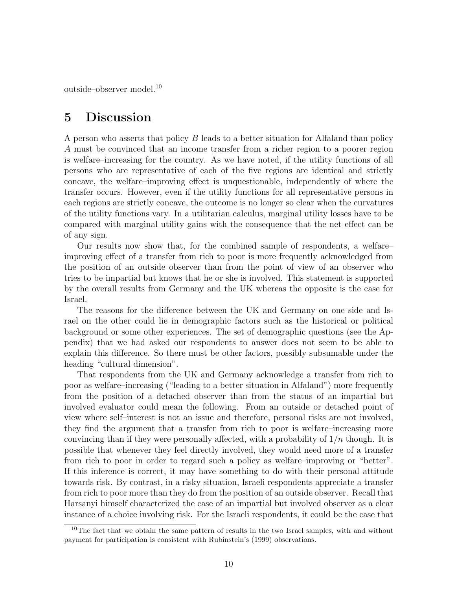outside–observer model.<sup>10</sup>

# 5 Discussion

A person who asserts that policy B leads to a better situation for Alfaland than policy A must be convinced that an income transfer from a richer region to a poorer region is welfare–increasing for the country. As we have noted, if the utility functions of all persons who are representative of each of the five regions are identical and strictly concave, the welfare–improving effect is unquestionable, independently of where the transfer occurs. However, even if the utility functions for all representative persons in each regions are strictly concave, the outcome is no longer so clear when the curvatures of the utility functions vary. In a utilitarian calculus, marginal utility losses have to be compared with marginal utility gains with the consequence that the net effect can be of any sign.

Our results now show that, for the combined sample of respondents, a welfare– improving effect of a transfer from rich to poor is more frequently acknowledged from the position of an outside observer than from the point of view of an observer who tries to be impartial but knows that he or she is involved. This statement is supported by the overall results from Germany and the UK whereas the opposite is the case for Israel.

The reasons for the difference between the UK and Germany on one side and Israel on the other could lie in demographic factors such as the historical or political background or some other experiences. The set of demographic questions (see the Appendix) that we had asked our respondents to answer does not seem to be able to explain this difference. So there must be other factors, possibly subsumable under the heading "cultural dimension".

That respondents from the UK and Germany acknowledge a transfer from rich to poor as welfare–increasing ("leading to a better situation in Alfaland") more frequently from the position of a detached observer than from the status of an impartial but involved evaluator could mean the following. From an outside or detached point of view where self–interest is not an issue and therefore, personal risks are not involved, they find the argument that a transfer from rich to poor is welfare–increasing more convincing than if they were personally affected, with a probability of  $1/n$  though. It is possible that whenever they feel directly involved, they would need more of a transfer from rich to poor in order to regard such a policy as welfare–improving or "better". If this inference is correct, it may have something to do with their personal attitude towards risk. By contrast, in a risky situation, Israeli respondents appreciate a transfer from rich to poor more than they do from the position of an outside observer. Recall that Harsanyi himself characterized the case of an impartial but involved observer as a clear instance of a choice involving risk. For the Israeli respondents, it could be the case that

<sup>&</sup>lt;sup>10</sup>The fact that we obtain the same pattern of results in the two Israel samples, with and without payment for participation is consistent with Rubinstein's (1999) observations.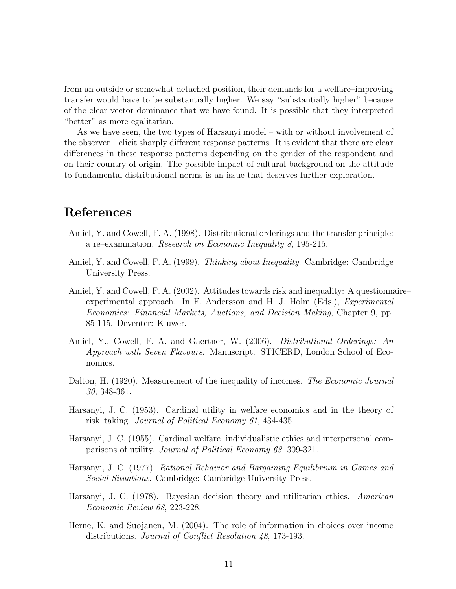from an outside or somewhat detached position, their demands for a welfare–improving transfer would have to be substantially higher. We say "substantially higher" because of the clear vector dominance that we have found. It is possible that they interpreted "better" as more egalitarian.

As we have seen, the two types of Harsanyi model – with or without involvement of the observer – elicit sharply different response patterns. It is evident that there are clear differences in these response patterns depending on the gender of the respondent and on their country of origin. The possible impact of cultural background on the attitude to fundamental distributional norms is an issue that deserves further exploration.

## References

- Amiel, Y. and Cowell, F. A. (1998). Distributional orderings and the transfer principle: a re–examination. Research on Economic Inequality 8, 195-215.
- Amiel, Y. and Cowell, F. A. (1999). Thinking about Inequality. Cambridge: Cambridge University Press.
- Amiel, Y. and Cowell, F. A. (2002). Attitudes towards risk and inequality: A questionnaire– experimental approach. In F. Andersson and H. J. Holm (Eds.), Experimental Economics: Financial Markets, Auctions, and Decision Making, Chapter 9, pp. 85-115. Deventer: Kluwer.
- Amiel, Y., Cowell, F. A. and Gaertner, W. (2006). Distributional Orderings: An Approach with Seven Flavours. Manuscript. STICERD, London School of Economics.
- Dalton, H. (1920). Measurement of the inequality of incomes. The Economic Journal 30, 348-361.
- Harsanyi, J. C. (1953). Cardinal utility in welfare economics and in the theory of risk–taking. Journal of Political Economy 61, 434-435.
- Harsanyi, J. C. (1955). Cardinal welfare, individualistic ethics and interpersonal comparisons of utility. Journal of Political Economy 63, 309-321.
- Harsanyi, J. C. (1977). Rational Behavior and Bargaining Equilibrium in Games and Social Situations. Cambridge: Cambridge University Press.
- Harsanyi, J. C. (1978). Bayesian decision theory and utilitarian ethics. American Economic Review 68, 223-228.
- Herne, K. and Suojanen, M. (2004). The role of information in choices over income distributions. Journal of Conflict Resolution 48, 173-193.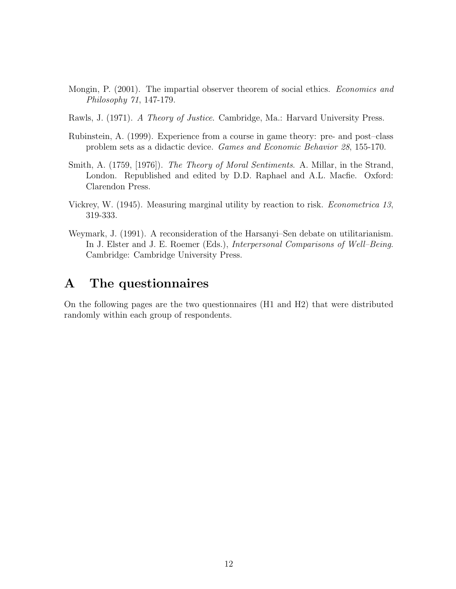- Mongin, P. (2001). The impartial observer theorem of social ethics. Economics and Philosophy 71, 147-179.
- Rawls, J. (1971). A Theory of Justice. Cambridge, Ma.: Harvard University Press.
- Rubinstein, A. (1999). Experience from a course in game theory: pre- and post–class problem sets as a didactic device. Games and Economic Behavior 28, 155-170.
- Smith, A. (1759, [1976]). The Theory of Moral Sentiments. A. Millar, in the Strand, London. Republished and edited by D.D. Raphael and A.L. Macfie. Oxford: Clarendon Press.
- Vickrey, W. (1945). Measuring marginal utility by reaction to risk. Econometrica 13, 319-333.
- Weymark, J. (1991). A reconsideration of the Harsanyi–Sen debate on utilitarianism. In J. Elster and J. E. Roemer (Eds.), Interpersonal Comparisons of Well–Being. Cambridge: Cambridge University Press.

# A The questionnaires

On the following pages are the two questionnaires (H1 and H2) that were distributed randomly within each group of respondents.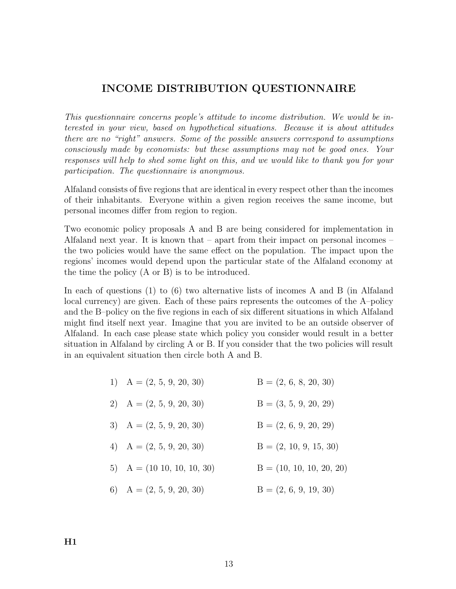#### INCOME DISTRIBUTION QUESTIONNAIRE

This questionnaire concerns people's attitude to income distribution. We would be interested in your view, based on hypothetical situations. Because it is about attitudes there are no "right" answers. Some of the possible answers correspond to assumptions consciously made by economists: but these assumptions may not be good ones. Your responses will help to shed some light on this, and we would like to thank you for your participation. The questionnaire is anonymous.

Alfaland consists of five regions that are identical in every respect other than the incomes of their inhabitants. Everyone within a given region receives the same income, but personal incomes differ from region to region.

Two economic policy proposals A and B are being considered for implementation in Alfaland next year. It is known that – apart from their impact on personal incomes – the two policies would have the same effect on the population. The impact upon the regions' incomes would depend upon the particular state of the Alfaland economy at the time the policy (A or B) is to be introduced.

In each of questions (1) to (6) two alternative lists of incomes A and B (in Alfaland local currency) are given. Each of these pairs represents the outcomes of the A–policy and the B–policy on the five regions in each of six different situations in which Alfaland might find itself next year. Imagine that you are invited to be an outside observer of Alfaland. In each case please state which policy you consider would result in a better situation in Alfaland by circling A or B. If you consider that the two policies will result in an equivalent situation then circle both A and B.

| 1) $A = (2, 5, 9, 20, 30)$                                                                                                                                                                                                                                                                                                                                                                                                                                                                                                                                                                                                                        | $B = (2, 6, 8, 20, 30)$    |
|---------------------------------------------------------------------------------------------------------------------------------------------------------------------------------------------------------------------------------------------------------------------------------------------------------------------------------------------------------------------------------------------------------------------------------------------------------------------------------------------------------------------------------------------------------------------------------------------------------------------------------------------------|----------------------------|
| 2) $A = (2, 5, 9, 20, 30)$                                                                                                                                                                                                                                                                                                                                                                                                                                                                                                                                                                                                                        | $B = (3, 5, 9, 20, 29)$    |
| 3) $A = (2, 5, 9, 20, 30)$                                                                                                                                                                                                                                                                                                                                                                                                                                                                                                                                                                                                                        | $B = (2, 6, 9, 20, 29)$    |
| 4) $A = (2, 5, 9, 20, 30)$                                                                                                                                                                                                                                                                                                                                                                                                                                                                                                                                                                                                                        | $B = (2, 10, 9, 15, 30)$   |
| $\blacktriangleright$ $\blacktriangle$ $\blacktriangle$ $\blacktriangle$ $\blacktriangle$ $\blacktriangle$ $\blacktriangle$ $\blacktriangle$ $\blacktriangle$ $\blacktriangle$ $\blacktriangle$ $\blacktriangle$ $\blacktriangle$ $\blacktriangle$ $\blacktriangle$ $\blacktriangle$ $\blacktriangle$ $\blacktriangle$ $\blacktriangle$ $\blacktriangle$ $\blacktriangle$ $\blacktriangle$ $\blacktriangle$ $\blacktriangle$ $\blacktriangle$ $\blacktriangle$ $\blacktriangle$ $\blacktriangle$ $\blacktriangle$ $\blacktriangle$ $\blacktriangle$ $\blacktriangle$ $\blacktriangle$ $\blacktriangle$ $\blacktriangle$ $\blacktriangle$ $\black$ | $D = (10, 10, 10, 00, 00)$ |

- 5)  $A = (10 \ 10, 10, 10, 30)$   $B = (10, 10, 10, 20, 20)$
- 6)  $A = (2, 5, 9, 20, 30)$   $B = (2, 6, 9, 19, 30)$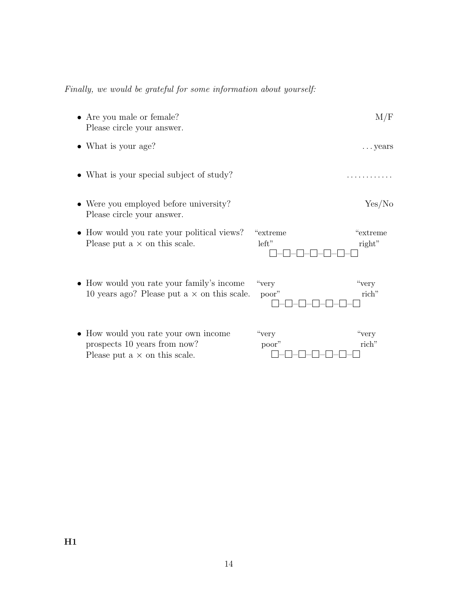Finally, we would be grateful for some information about yourself:

• Are you male or female? M/F Please circle your answer. • What is your age? ... years ... years • What is your special subject of study? . . . . . . . . . . . . • Were you employed before university? Yes/No Please circle your answer. • How would you rate your political views? "extreme" extreme" extreme Please put  $a \times on$  this scale. left" right" right" ¤–¤–¤–¤–¤–¤–¤ • How would you rate your family's income "very "very" 10 years ago? Please put a  $\times$  on this scale. poor" rich" ¤–¤–¤–¤–¤–¤–¤ • How would you rate your own income "very "very" prospects 10 years from now? poor" rich" Please put a  $\times$  on this scale.  $\Box$ - $\Box$ - $\Box$ - $\Box$ - $\Box$ - $\Box$ - $\Box$ - $\Box$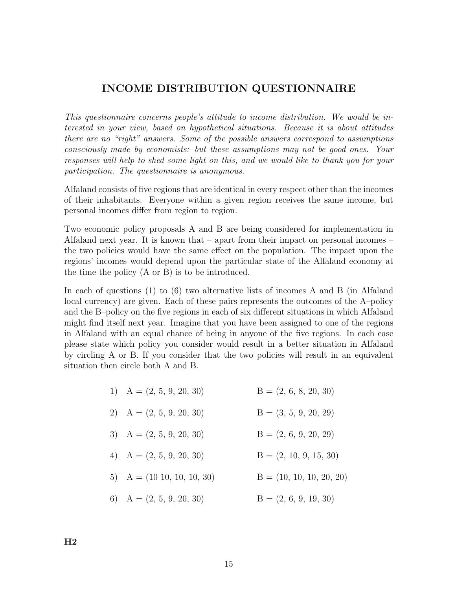#### INCOME DISTRIBUTION QUESTIONNAIRE

This questionnaire concerns people's attitude to income distribution. We would be interested in your view, based on hypothetical situations. Because it is about attitudes there are no "right" answers. Some of the possible answers correspond to assumptions consciously made by economists: but these assumptions may not be good ones. Your responses will help to shed some light on this, and we would like to thank you for your participation. The questionnaire is anonymous.

Alfaland consists of five regions that are identical in every respect other than the incomes of their inhabitants. Everyone within a given region receives the same income, but personal incomes differ from region to region.

Two economic policy proposals A and B are being considered for implementation in Alfaland next year. It is known that – apart from their impact on personal incomes – the two policies would have the same effect on the population. The impact upon the regions' incomes would depend upon the particular state of the Alfaland economy at the time the policy (A or B) is to be introduced.

In each of questions (1) to (6) two alternative lists of incomes A and B (in Alfaland local currency) are given. Each of these pairs represents the outcomes of the A–policy and the B–policy on the five regions in each of six different situations in which Alfaland might find itself next year. Imagine that you have been assigned to one of the regions in Alfaland with an equal chance of being in anyone of the five regions. In each case please state which policy you consider would result in a better situation in Alfaland by circling A or B. If you consider that the two policies will result in an equivalent situation then circle both A and B.

- 1)  $A = (2, 5, 9, 20, 30)$   $B = (2, 6, 8, 20, 30)$
- 2)  $A = (2, 5, 9, 20, 30)$   $B = (3, 5, 9, 20, 29)$
- 3)  $A = (2, 5, 9, 20, 30)$   $B = (2, 6, 9, 20, 29)$
- 4)  $A = (2, 5, 9, 20, 30)$   $B = (2, 10, 9, 15, 30)$
- 5)  $A = (10 \ 10, 10, 10, 30)$   $B = (10, 10, 10, 20, 20)$
- 6)  $A = (2, 5, 9, 20, 30)$   $B = (2, 6, 9, 19, 30)$